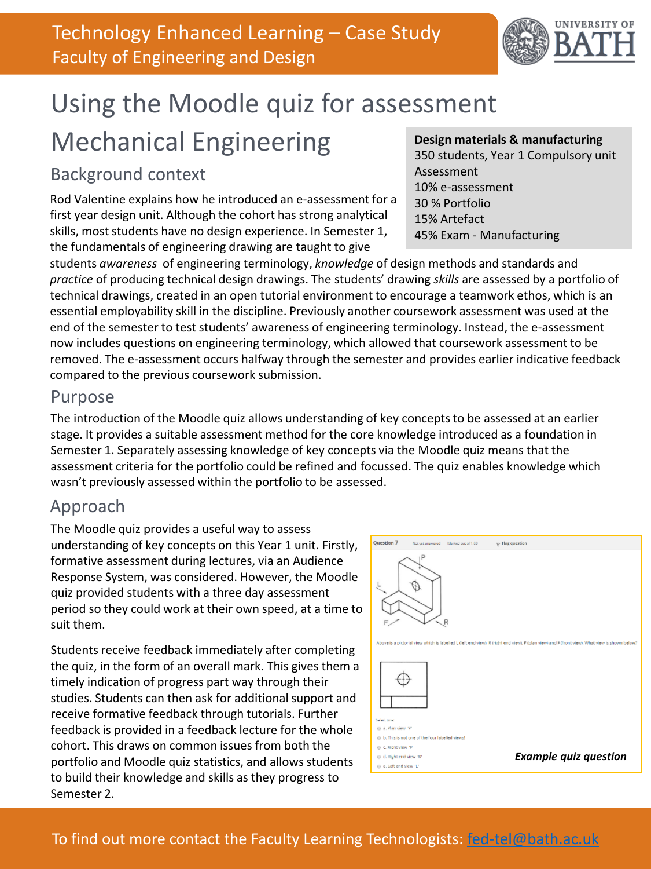

# Using the Moodle quiz for assessment Mechanical Engineering

## Background context

Rod Valentine explains how he introduced an e-assessment for a first year design unit. Although the cohort has strong analytical skills, most students have no design experience. In Semester 1, the fundamentals of engineering drawing are taught to give

#### **Design materials & manufacturing**

350 students, Year 1 Compulsory unit Assessment 10% e-assessment 30 % Portfolio 15% Artefact 45% Exam - Manufacturing

students *awareness* of engineering terminology, *knowledge* of design methods and standards and *practice* of producing technical design drawings. The students' drawing *skills* are assessed by a portfolio of technical drawings, created in an open tutorial environment to encourage a teamwork ethos, which is an essential employability skill in the discipline. Previously another coursework assessment was used at the end of the semester to test students' awareness of engineering terminology. Instead, the e-assessment now includes questions on engineering terminology, which allowed that coursework assessment to be removed. The e-assessment occurs halfway through the semester and provides earlier indicative feedback compared to the previous coursework submission.

#### Purpose

The introduction of the Moodle quiz allows understanding of key concepts to be assessed at an earlier stage. It provides a suitable assessment method for the core knowledge introduced as a foundation in Semester 1. Separately assessing knowledge of key concepts via the Moodle quiz means that the assessment criteria for the portfolio could be refined and focussed. The quiz enables knowledge which wasn't previously assessed within the portfolio to be assessed.

#### Approach

The Moodle quiz provides a useful way to assess understanding of key concepts on this Year 1 unit. Firstly, formative assessment during lectures, via an Audience Response System, was considered. However, the Moodle quiz provided students with a three day assessment period so they could work at their own speed, at a time to suit them.

Students receive feedback immediately after completing the quiz, in the form of an overall mark. This gives them a timely indication of progress part way through their studies. Students can then ask for additional support and receive formative feedback through tutorials. Further feedback is provided in a feedback lecture for the whole cohort. This draws on common issues from both the portfolio and Moodle quiz statistics, and allows students to build their knowledge and skills as they progress to Semester 2.